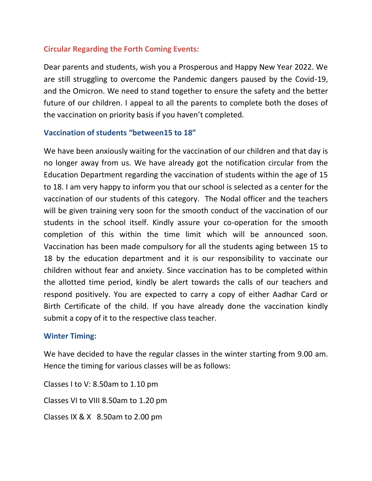# **Circular Regarding the Forth Coming Events:**

Dear parents and students, wish you a Prosperous and Happy New Year 2022. We are still struggling to overcome the Pandemic dangers paused by the Covid-19, and the Omicron. We need to stand together to ensure the safety and the better future of our children. I appeal to all the parents to complete both the doses of the vaccination on priority basis if you haven't completed.

## **Vaccination of students "between15 to 18"**

We have been anxiously waiting for the vaccination of our children and that day is no longer away from us. We have already got the notification circular from the Education Department regarding the vaccination of students within the age of 15 to 18. I am very happy to inform you that our school is selected as a center for the vaccination of our students of this category. The Nodal officer and the teachers will be given training very soon for the smooth conduct of the vaccination of our students in the school itself. Kindly assure your co-operation for the smooth completion of this within the time limit which will be announced soon. Vaccination has been made compulsory for all the students aging between 15 to 18 by the education department and it is our responsibility to vaccinate our children without fear and anxiety. Since vaccination has to be completed within the allotted time period, kindly be alert towards the calls of our teachers and respond positively. You are expected to carry a copy of either Aadhar Card or Birth Certificate of the child. If you have already done the vaccination kindly submit a copy of it to the respective class teacher.

#### **Winter Timing:**

We have decided to have the regular classes in the winter starting from 9.00 am. Hence the timing for various classes will be as follows:

Classes I to V: 8.50am to 1.10 pm Classes VI to VIII 8.50am to 1.20 pm Classes IX & X 8.50am to 2.00 pm